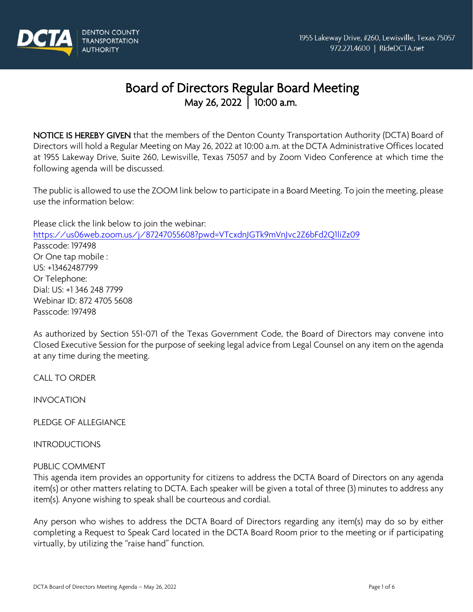

# Board of Directors Regular Board Meeting May 26, 2022 **│** 10:00 a.m.

NOTICE IS HEREBY GIVEN that the members of the Denton County Transportation Authority (DCTA) Board of Directors will hold a Regular Meeting on May 26, 2022 at 10:00 a.m. at the DCTA Administrative Offices located at 1955 Lakeway Drive, Suite 260, Lewisville, Texas 75057 and by Zoom Video Conference at which time the following agenda will be discussed.

The public is allowed to use the ZOOM link below to participate in a Board Meeting. To join the meeting, please use the information below:

Please click the link below to join the webinar: <https://us06web.zoom.us/j/87247055608?pwd=VTcxdnJGTk9mVnJvc2Z6bFd2Q1liZz09> Passcode: 197498 Or One tap mobile : US: +13462487799 Or Telephone: Dial: US: +1 346 248 7799 Webinar ID: 872 4705 5608 Passcode: 197498

As authorized by Section 551-071 of the Texas Government Code, the Board of Directors may convene into Closed Executive Session for the purpose of seeking legal advice from Legal Counsel on any item on the agenda at any time during the meeting.

CALL TO ORDER

INVOCATION

PLEDGE OF ALLEGIANCE

INTRODUCTIONS

#### PUBLIC COMMENT

This agenda item provides an opportunity for citizens to address the DCTA Board of Directors on any agenda item(s) or other matters relating to DCTA. Each speaker will be given a total of three (3) minutes to address any item(s). Anyone wishing to speak shall be courteous and cordial.

Any person who wishes to address the DCTA Board of Directors regarding any item(s) may do so by either completing a Request to Speak Card located in the DCTA Board Room prior to the meeting or if participating virtually, by utilizing the "raise hand" function.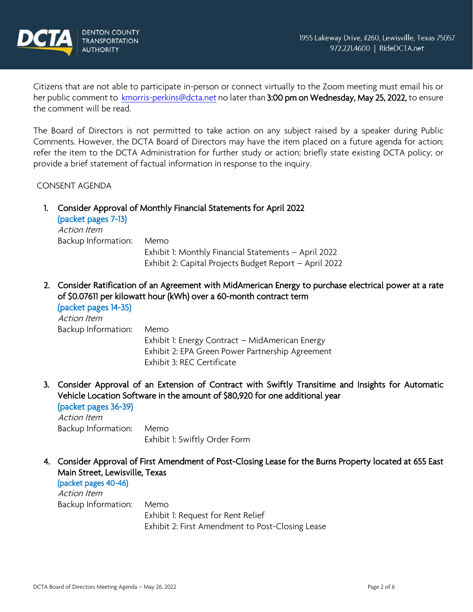

Citizens that are not able to participate in-person or connect virtually to the Zoom meeting must email his or her public comment to [kmorris-perkins@dcta.net n](mailto:kmorris-perkins@dcta.net)o later than 3:00 pm on Wednesday, May 25, 2022, to ensure the comment will be read.

The Board of Directors is not permitted to take action on any subject raised by a speaker during Public Comments. However, the DCTA Board of Directors may have the item placed on a future agenda for action; refer the item to the DCTA Administration for further study or action; briefly state existing DCTA policy; or provide a brief statement of factual information in response to the inquiry.

CONSENT AGENDA

1. Consider Approval of Monthly Financial Statements for April 2022

| (packet pages 7-13) |                                                        |
|---------------------|--------------------------------------------------------|
| Action Item         |                                                        |
| Backup Information: | Memo                                                   |
|                     | Exhibit 1: Monthly Financial Statements - April 2022   |
|                     | Exhibit 2: Capital Projects Budget Report - April 2022 |

2. Consider Ratification of an Agreement with MidAmerican Energy to purchase electrical power at a rate of \$0.07611 per kilowatt hour (kWh) over a 60-month contract term

```
(packet pages 14-35) 
Action Item
Backup Information: Memo
```
Exhibit 1: Energy Contract – MidAmerican Energy Exhibit 2: EPA Green Power Partnership Agreement Exhibit 3: REC Certificate

3. Consider Approval of an Extension of Contract with Swiftly Transitime and Insights for Automatic Vehicle Location Software in the amount of \$80,920 for one additional year (packet pages 36-39)

Action Item Backup Information: Memo Exhibit 1: Swiftly Order Form

4. Consider Approval of First Amendment of Post-Closing Lease for the Burns Property located at 655 East Main Street, Lewisville, Texas

(packet pages 40-46) Action Item Backup Information: Memo Exhibit 1: Request for Rent Relief

Exhibit 2: First Amendment to Post-Closing Lease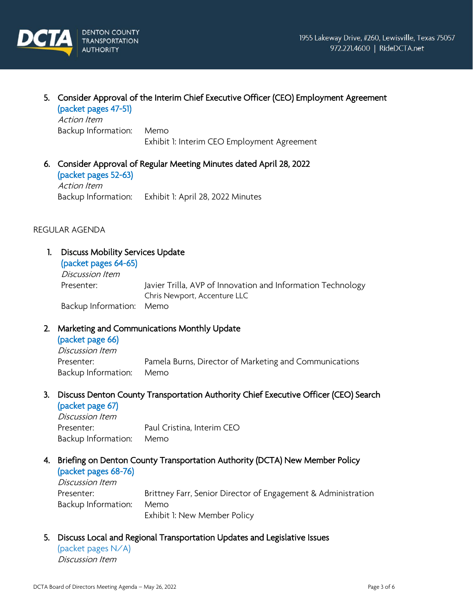

# 5. Consider Approval of the Interim Chief Executive Officer (CEO) Employment Agreement

(packet pages 47-51) Action Item Backup Information: Memo

Exhibit 1: Interim CEO Employment Agreement

# 6. Consider Approval of Regular Meeting Minutes dated April 28, 2022 (packet pages 52-63) Action Item

Backup Information: Exhibit 1: April 28, 2022 Minutes

# REGULAR AGENDA

# 1. Discuss Mobility Services Update

#### (packet pages 64-65) Discussion Item

Presenter: Javier Trilla, AVP of Innovation and Information Technology Chris Newport, Accenture LLC Backup Information: Memo

# 2. Marketing and Communications Monthly Update

# (packet page 66)

Discussion Item Presenter: Pamela Burns, Director of Marketing and Communications Backup Information: Memo

# 3. Discuss Denton County Transportation Authority Chief Executive Officer (CEO) Search

(packet page 67) Discussion Item Presenter: Paul Cristina, Interim CEO Backup Information: Memo

# 4. Briefing on Denton County Transportation Authority (DCTA) New Member Policy

# (packet pages 68-76)

Discussion Item Presenter: Brittney Farr, Senior Director of Engagement & Administration Backup Information: Memo Exhibit 1: New Member Policy

# 5. Discuss Local and Regional Transportation Updates and Legislative Issues

(packet pages N/A) Discussion Item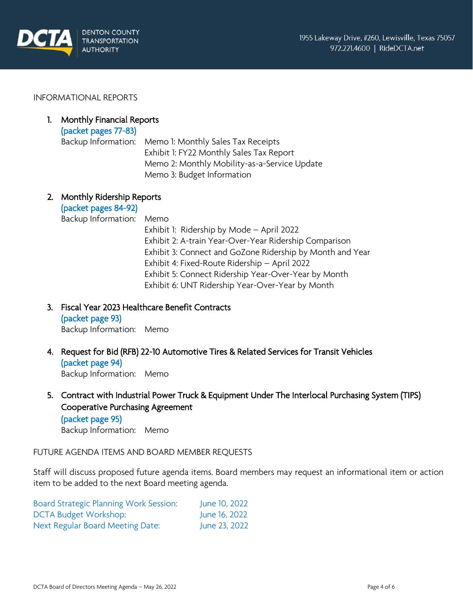

#### INFORMATIONAL REPORTS

# 1. Monthly Financial Reports

(packet pages 77-83) Backup Information: Memo 1: Monthly Sales Tax Receipts Exhibit 1: FY22 Monthly Sales Tax Report Memo 2: Monthly Mobility-as-a-Service Update Memo 3: Budget Information

## 2. Monthly Ridership Reports

(packet pages 84-92) Backup Information: Memo Exhibit 1: Ridership by Mode – April 2022 Exhibit 2: A-train Year-Over-Year Ridership Comparison Exhibit 3: Connect and GoZone Ridership by Month and Year Exhibit 4: Fixed-Route Ridership – April 2022 Exhibit 5: Connect Ridership Year-Over-Year by Month Exhibit 6: UNT Ridership Year-Over-Year by Month

- 3. Fiscal Year 2023 Healthcare Benefit Contracts (packet page 93) Backup Information: Memo
- 4. Request for Bid (RFB) 22-10 Automotive Tires & Related Services for Transit Vehicles (packet page 94) Backup Information: Memo
- 5. Contract with Industrial Power Truck & Equipment Under The Interlocal Purchasing System (TIPS) Cooperative Purchasing Agreement (packet page 95)

Backup Information: Memo

## FUTURE AGENDA ITEMS AND BOARD MEMBER REQUESTS

Staff will discuss proposed future agenda items. Board members may request an informational item or action item to be added to the next Board meeting agenda.

| Board Strategic Planning Work Session: | June 10, 2022 |
|----------------------------------------|---------------|
| DCTA Budget Workshop:                  | June 16, 2022 |
| Next Regular Board Meeting Date:       | June 23, 2022 |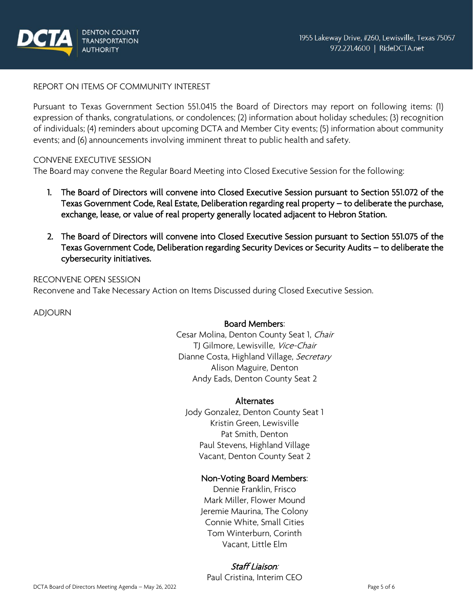

# REPORT ON ITEMS OF COMMUNITY INTEREST

Pursuant to Texas Government Section 551.0415 the Board of Directors may report on following items: (1) expression of thanks, congratulations, or condolences; (2) information about holiday schedules; (3) recognition of individuals; (4) reminders about upcoming DCTA and Member City events; (5) information about community events; and (6) announcements involving imminent threat to public health and safety.

## CONVENE EXECUTIVE SESSION

The Board may convene the Regular Board Meeting into Closed Executive Session for the following:

- 1. The Board of Directors will convene into Closed Executive Session pursuant to Section 551.072 of the Texas Government Code, Real Estate, Deliberation regarding real property – to deliberate the purchase, exchange, lease, or value of real property generally located adjacent to Hebron Station.
- 2. The Board of Directors will convene into Closed Executive Session pursuant to Section 551.075 of the Texas Government Code, Deliberation regarding Security Devices or Security Audits – to deliberate the cybersecurity initiatives.

# RECONVENE OPEN SESSION Reconvene and Take Necessary Action on Items Discussed during Closed Executive Session.

ADJOURN

# Board Members:

Cesar Molina, Denton County Seat 1, Chair TJ Gilmore, Lewisville, Vice-Chair Dianne Costa, Highland Village, Secretary Alison Maguire, Denton Andy Eads, Denton County Seat 2

#### Alternates

Jody Gonzalez, Denton County Seat 1 Kristin Green, Lewisville Pat Smith, Denton Paul Stevens, Highland Village Vacant, Denton County Seat 2

# Non-Voting Board Members:

Dennie Franklin, Frisco Mark Miller, Flower Mound Jeremie Maurina, The Colony Connie White, Small Cities Tom Winterburn, Corinth Vacant, Little Elm

# Staff Liaison:

Paul Cristina, Interim CEO